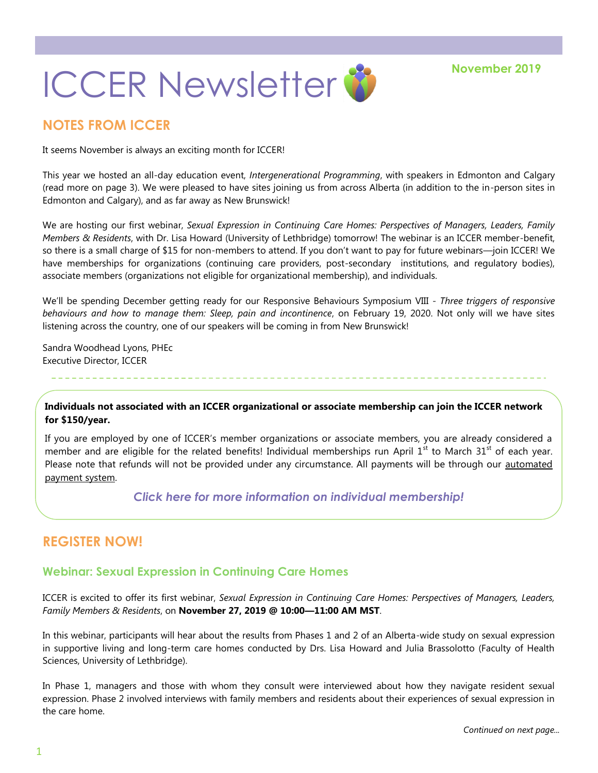

### **NOTES FROM ICCER**

It seems November is always an exciting month for ICCER!

This year we hosted an all-day education event, *Intergenerational Programming*, with speakers in Edmonton and Calgary (read more on page 3). We were pleased to have sites joining us from across Alberta (in addition to the in-person sites in Edmonton and Calgary), and as far away as New Brunswick!

We are hosting our first webinar, *Sexual Expression in Continuing Care Homes: Perspectives of Managers, Leaders, Family Members & Residents*, with Dr. Lisa Howard (University of Lethbridge) tomorrow! The webinar is an ICCER member-benefit, so there is a small charge of \$15 for non-members to attend. If you don't want to pay for future webinars—join ICCER! We have memberships for organizations (continuing care providers, post-secondary institutions, and regulatory bodies), associate members (organizations not eligible for organizational membership), and individuals.

We'll be spending December getting ready for our Responsive Behaviours Symposium VIII - *Three triggers of responsive behaviours and how to manage them: Sleep, pain and incontinence*, on February 19, 2020. Not only will we have sites listening across the country, one of our speakers will be coming in from New Brunswick!

Sandra Woodhead Lyons, PHEc Executive Director, ICCER

**Individuals not associated with an ICCER organizational or associate membership can join the ICCER network for \$150/year.**

If you are employed by one of ICCER's member organizations or associate members, you are already considered a member and are eligible for the related benefits! Individual memberships run April  $1<sup>st</sup>$  to March  $31<sup>st</sup>$  of each year. Please note that refunds will not be provided under any circumstance. All payments will be through our automated [payment system.](https://payment.augustana.ualberta.ca/store/Rehab+Medicine+-+ICCER+Store/)

### *[Click here for more information on individual membership!](http://iccer.ca/im.html)*

## **REGISTER NOW!**

### **Webinar: Sexual Expression in Continuing Care Homes**

ICCER is excited to offer its first webinar, *Sexual Expression in Continuing Care Homes: Perspectives of Managers, Leaders, Family Members & Residents*, on **November 27, 2019 @ 10:00—11:00 AM MST**.

In this webinar, participants will hear about the results from Phases 1 and 2 of an Alberta-wide study on sexual expression in supportive living and long-term care homes conducted by Drs. Lisa Howard and Julia Brassolotto (Faculty of Health Sciences, University of Lethbridge).

In Phase 1, managers and those with whom they consult were interviewed about how they navigate resident sexual expression. Phase 2 involved interviews with family members and residents about their experiences of sexual expression in the care home.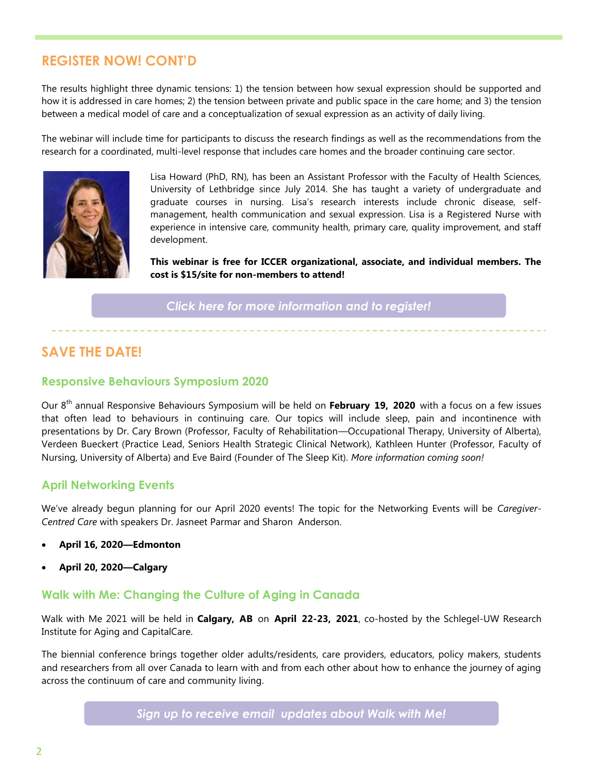## **REGISTER NOW! CONT'D**

The results highlight three dynamic tensions: 1) the tension between how sexual expression should be supported and how it is addressed in care homes; 2) the tension between private and public space in the care home; and 3) the tension between a medical model of care and a conceptualization of sexual expression as an activity of daily living.

The webinar will include time for participants to discuss the research findings as well as the recommendations from the research for a coordinated, multi-level response that includes care homes and the broader continuing care sector.



Lisa Howard (PhD, RN), has been an Assistant Professor with the Faculty of Health Sciences, University of Lethbridge since July 2014. She has taught a variety of undergraduate and graduate courses in nursing. Lisa's research interests include chronic disease, selfmanagement, health communication and sexual expression. Lisa is a Registered Nurse with experience in intensive care, community health, primary care, quality improvement, and staff development.

**This webinar is free for ICCER organizational, associate, and individual members. The cost is \$15/site for non-members to attend!** 

*[Click here for more information and to register!](http://events.constantcontact.com/register/event?llr=hnncpkfab&oeidk=a07egp5sqrjb85333aa)*

## **SAVE THE DATE!**

#### **Responsive Behaviours Symposium 2020**

Our 8th annual Responsive Behaviours Symposium will be held on **February 19, 2020** with a focus on a few issues that often lead to behaviours in continuing care. Our topics will include sleep, pain and incontinence with presentations by Dr. Cary Brown (Professor, Faculty of Rehabilitation—Occupational Therapy, University of Alberta), Verdeen Bueckert (Practice Lead, Seniors Health Strategic Clinical Network), Kathleen Hunter (Professor, Faculty of Nursing, University of Alberta) and Eve Baird (Founder of The Sleep Kit). *More information coming soon!*

### **April Networking Events**

We've already begun planning for our April 2020 events! The topic for the Networking Events will be *Caregiver-Centred Care* with speakers Dr. Jasneet Parmar and Sharon Anderson.

- **April 16, 2020—Edmonton**
- **April 20, 2020—Calgary**

### **Walk with Me: Changing the Culture of Aging in Canada**

Walk with Me 2021 will be held in **Calgary, AB** on **April 22-23, 2021**, co-hosted by the Schlegel-UW Research Institute for Aging and CapitalCare.

The biennial conference brings together older adults/residents, care providers, educators, policy makers, students and researchers from all over Canada to learn with and from each other about how to enhance the journey of aging across the continuum of care and community living.

*[Sign up to receive email updates about Walk with Me!](https://visitor.r20.constantcontact.com/d.jsp?llr=oouhosyab&p=oi&m=1125900341710&sit=7o5szg6kb&f=eef2e8fc-4a5f-445b-828e-ae3f5c81a592)*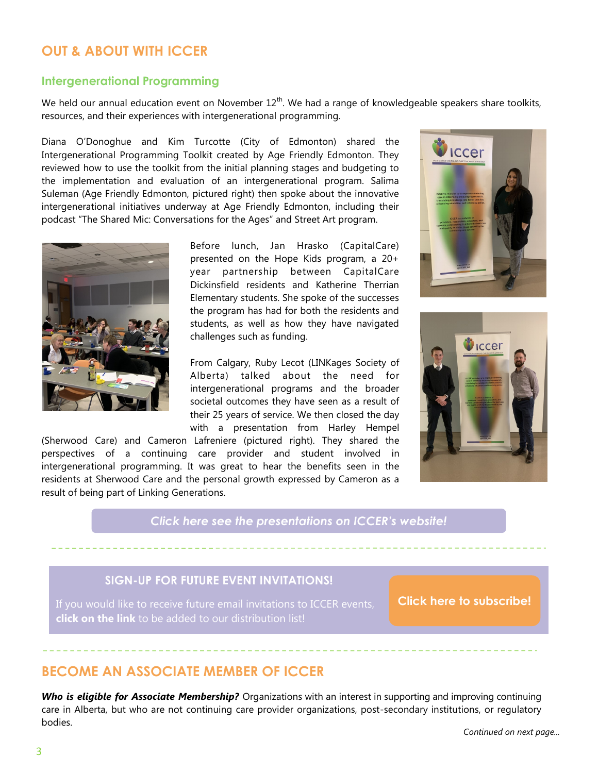## **OUT & ABOUT WITH ICCER**

#### **Intergenerational Programming**

We held our annual education event on November  $12<sup>th</sup>$ . We had a range of knowledgeable speakers share toolkits, resources, and their experiences with intergenerational programming.

Diana O'Donoghue and Kim Turcotte (City of Edmonton) shared the Intergenerational Programming Toolkit created by Age Friendly Edmonton. They reviewed how to use the toolkit from the initial planning stages and budgeting to the implementation and evaluation of an intergenerational program. Salima Suleman (Age Friendly Edmonton, pictured right) then spoke about the innovative intergenerational initiatives underway at Age Friendly Edmonton, including their podcast "The Shared Mic: Conversations for the Ages" and Street Art program.



Before lunch, Jan Hrasko (CapitalCare) presented on the Hope Kids program, a 20+ year partnership between CapitalCare Dickinsfield residents and Katherine Therrian Elementary students. She spoke of the successes the program has had for both the residents and students, as well as how they have navigated challenges such as funding.

From Calgary, Ruby Lecot (LINKages Society of Alberta) talked about the need for intergenerational programs and the broader societal outcomes they have seen as a result of their 25 years of service. We then closed the day with a presentation from Harley Hempel

(Sherwood Care) and Cameron Lafreniere (pictured right). They shared the perspectives of a continuing care provider and student involved in intergenerational programming. It was great to hear the benefits seen in the residents at Sherwood Care and the personal growth expressed by Cameron as a result of being part of Linking Generations.

*[Click here see the presentations on ICCER's website!](http://iccer.ca/education_sessions.html)*

## **SIGN-UP FOR FUTURE EVENT INVITATIONS!**

**click on the link** to be added to our distribution list!

**[Click here to subscribe!](https://visitor.r20.constantcontact.com/manage/optin?v=001MqUcqqvjwLD850nipaor0HtdI1Y9d8ED2u9ivDzRV7Gp5uTyf2p54vfsufOQXL7BcGZnnLM-9yRAw3TIqncd_CNV4yZzfE9gE8XUs-KE6So%3D)**

ICCer

**ICCED** 

## **BECOME AN ASSOCIATE MEMBER OF ICCER**

*Who is eligible for Associate Membership?* Organizations with an interest in supporting and improving continuing care in Alberta, but who are not continuing care provider organizations, post-secondary institutions, or regulatory bodies.

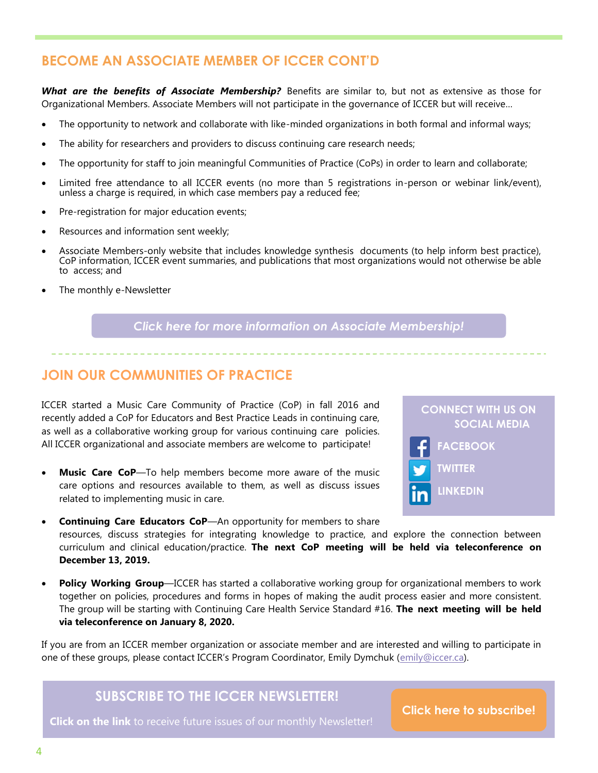# **BECOME AN ASSOCIATE MEMBER OF ICCER CONT'D**

*What are the benefits of Associate Membership?* Benefits are similar to, but not as extensive as those for Organizational Members. Associate Members will not participate in the governance of ICCER but will receive…

- The opportunity to network and collaborate with like-minded organizations in both formal and informal ways;
- The ability for researchers and providers to discuss continuing care research needs;
- The opportunity for staff to join meaningful Communities of Practice (CoPs) in order to learn and collaborate;
- Limited free attendance to all ICCER events (no more than 5 registrations in-person or webinar link/event), unless a charge is required, in which case members pay a reduced fee;
- Pre-registration for major education events;
- Resources and information sent weekly;
- Associate Members-only website that includes knowledge synthesis documents (to help inform best practice), CoP information, ICCER event summaries, and publications that most organizations would not otherwise be able to access; and
- The monthly e-Newsletter

*[Click here for more information on Associate Membership!](http://iccer.ca/am.html)*

## **JOIN OUR COMMUNITIES OF PRACTICE**

ICCER started a Music Care Community of Practice (CoP) in fall 2016 and recently added a CoP for Educators and Best Practice Leads in continuing care, as well as a collaborative working group for various continuing care policies. All ICCER organizational and associate members are welcome to participate!

 **Music Care CoP**—To help members become more aware of the music care options and resources available to them, as well as discuss issues related to implementing music in care.



- **Continuing Care Educators CoP**—An opportunity for members to share resources, discuss strategies for integrating knowledge to practice, and explore the connection between curriculum and clinical education/practice. **The next CoP meeting will be held via teleconference on December 13, 2019.**
- **Policy Working Group**—ICCER has started a collaborative working group for organizational members to work together on policies, procedures and forms in hopes of making the audit process easier and more consistent. The group will be starting with Continuing Care Health Service Standard #16. **The next meeting will be held via teleconference on January 8, 2020.**

If you are from an ICCER member organization or associate member and are interested and willing to participate in one of these groups, please contact ICCER's Program Coordinator, Emily Dymchuk ([emily@iccer.ca\)](mailto:emily@iccer.ca).

# **SUBSCRIBE TO THE ICCER NEWSLETTER!**

**Click on the link** to receive future issues of our monthly Newsletter!

**[Click here to subscribe!](https://visitor.r20.constantcontact.com/manage/optin?v=001MqUcqqvjwLD850nipaor0JfDCl8lWHPtLmDKE1oKVPadFtCKS64MCgzWnGgYOX6ySCwPrvn1SoXo9nCXIBnYp6cVIXF92mMQ7-obGrUeUfo%3D)**